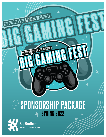# **SPONSORSHIP PACKAGE** SPRING 2022



**Big Brothers** OF GREATER VANCOUVER

BIG BROTHERS OF GREATER VANCOUVER

BIG BROTHERS OF GREATER VANCOUVER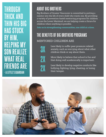## **THROUGH THICK AND THIN HIS BIG HAS STUCK BY HIM, HELPING MY SON REALIZE WHAT REAL FRIENDS ARE - A LITTLE'S GUARDIAN**

### **ABOUT BIG BROTHERS**

Big Brothers of Greater Vancouver is committed to putting a mentor into the life of every child who wants one. By providing a variety of prevention-based mentoring programs for children across the Lower Mainland, we are helping create a future for children where anything is possible.

**Join us in strengthening communities, one child at a time.**

#### **THE BENEFITS OF BIG BROTHERS PROGRAMS** MENTORED CHILDREN ARE

3X 2X 2X Less likely to suffer peer pressure related anxiety, such as worrying about what other children think or say about them.

More likely to believe that school is fun and that doing well academically is important.

Less likely to develop negative conducts like bullying, fighting, lying, cheating, or losing their temper.